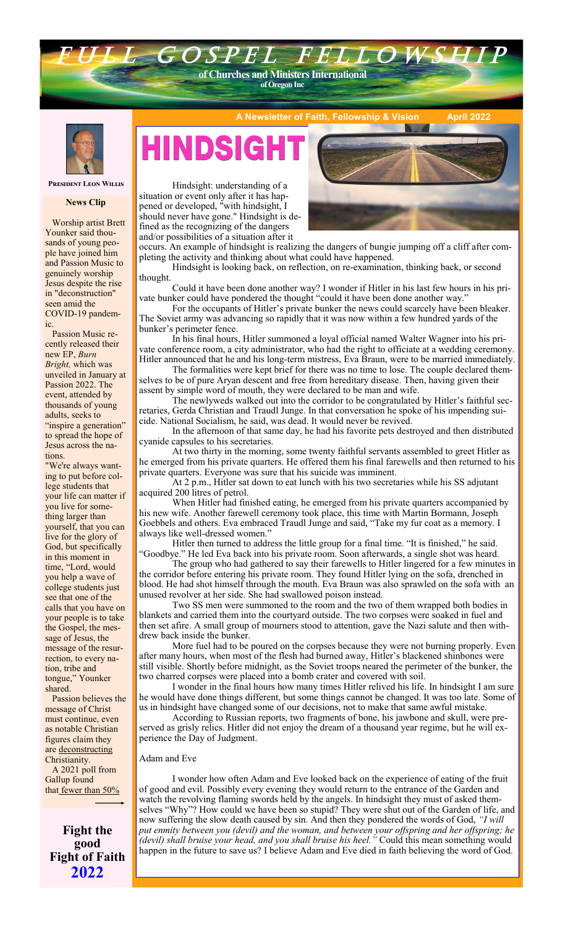# **of Oregon Inc**

**of Churches and Ministers International**

G O S P E L F E L I



**A Newsletter of Faith, Fellowship & Vision** 



 Worship artist Brett Younker said thousands of young people have joined him and Passion Music to genuinely worship Jesus despite the rise in "deconstruction" seen amid the COVID-19 pandem-

 Passion Music recently released their new EP, *Burn Bright,* which was unveiled in January at Passion 2022. The event, attended by thousands of young adults, seeks to "inspire a generation" to spread the hope of Jesus across the na-

"We're always wanting to put before college students that your life can matter if you live for something larger than yourself, that you can live for the glory of God, but specifically in this moment in time, "Lord, would you help a wave of college students just see that one of the calls that you have on your people is to take the Gospel, the message of Jesus, the message of the resurrection, to every nation, tribe and tongue," Younker

ic.

tions.

shared.

Hindsight: understanding of a  situation or event only after it has happened or developed, "with hindsight, I should never have gone." Hindsight is defined as the recognizing of the dangers and/or possibilities of a situation after it

**A Study in the book of James: Part 12**

occurs. An example of hindsight is realizing the dangers of bungie jumping off a cliff after completing the activity and thinking about what could have happened.

Hindsight is looking back, on reflection, on re-examination, thinking back, or second thought.

Could it have been done another way? I wonder if Hitler in his last few hours in his private bunker could have pondered the thought "could it have been done another way."

For the occupants of Hitler's private bunker the news could scarcely have been bleaker. The Soviet army was advancing so rapidly that it was now within a few hundred yards of the bunker's perimeter fence.

In his final hours, Hitler summoned a loyal official named Walter Wagner into his private conference room, a city administrator, who had the right to officiate at a wedding ceremony. Hitler announced that he and his long-term mistress, Eva Braun, were to be married immediately.

The formalities were kept brief for there was no time to lose. The couple declared themselves to be of pure Aryan descent and free from hereditary disease. Then, having given their assent by simple word of mouth, they were declared to be man and wife.

The newlyweds walked out into the corridor to be congratulated by Hitler's faithful secretaries, Gerda Christian and Traudl Junge. In that conversation he spoke of his impending suicide. National Socialism, he said, was dead. It would never be revived.

In the afternoon of that same day, he had his favorite pets destroyed and then distributed cyanide capsules to his secretaries.

At two thirty in the morning, some twenty faithful servants assembled to greet Hitler as he emerged from his private quarters. He offered them his final farewells and then returned to his private quarters. Everyone was sure that his suicide was imminent.

At 2 p.m., Hitler sat down to eat lunch with his two secretaries while his SS adjutant acquired 200 litres of petrol.

When Hitler had finished eating, he emerged from his private quarters accompanied by his new wife. Another farewell ceremony took place, this time with Martin Bormann, Joseph Goebbels and others. Eva embraced Traudl Junge and said, "Take my fur coat as a memory. I always like well-dressed women."

Hitler then turned to address the little group for a final time. "It is finished," he said. 'Goodbye." He led Eva back into his private room. Soon afterwards, a single shot was heard.

The group who had gathered to say their farewells to Hitler lingered for a few minutes in the corridor before entering his private room. They found Hitler lying on the sofa, drenched in blood. He had shot himself through the mouth. Eva Braun was also sprawled on the sofa with an unused revolver at her side. She had swallowed poison instead.

Two SS men were summoned to the room and the two of them wrapped both bodies in blankets and carried them into the courtyard outside. The two corpses were soaked in fuel and then set afire. A small group of mourners stood to attention, gave the Nazi salute and then withdrew back inside the bunker.

More fuel had to be poured on the corpses because they were not burning properly. Even after many hours, when most of the flesh had burned away, Hitler's blackened shinbones were still visible. Shortly before midnight, as the Soviet troops neared the perimeter of the bunker, the two charred corpses were placed into a bomb crater and covered with soil.

I wonder in the final hours how many times Hitler relived his life. In hindsight I am sure he would have done things different, but some things cannot be changed. It was too late. Some of us in hindsight have changed some of our decisions, not to make that same awful mistake.

According to Russian reports, two fragments of bone, his jawbone and skull, were preserved as grisly relics. Hitler did not enjoy the dream of a thousand year regime, but he will experience the Day of Judgment.

#### Adam and Eve

I wonder how often Adam and Eve looked back on the experience of eating of the fruit of good and evil. Possibly every evening they would return to the entrance of the Garden and watch the revolving flaming swords held by the angels. In hindsight they must of asked themselves "Why"? How could we have been so stupid? They were shut out of the Garden of life, and now suffering the slow death caused by sin. And then they pondered the words of God, *"I will put enmity between you (devil) and the woman, and between your offspring and her offspring; he (devil) shall bruise your head, and you shall bruise his heel."* Could this mean something would happen in the future to save us? I believe Adam and Eve died in faith believing the word of God.

**Fight the good** that [fewer than 50%](https://news.gallup.com/poll/341963/church-membership-falls-below-majority-first-time.aspx) 

 A 2021 poll from Gallup found

 Passion believes the message of Christ must continue, even as notable Christian figures claim they are [deconstructing](https://www.christianpost.com/podcast/what-is-fueling-the-trend-of-christians-deconstructing.html) Christianity.

**Fight of Faith 2022**